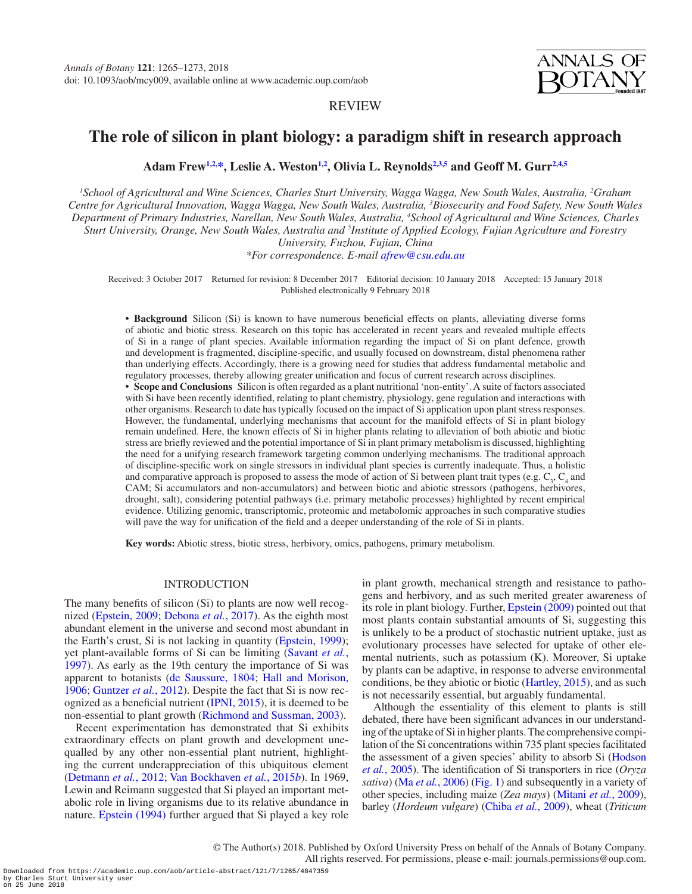

<span id="page-0-2"></span>REVIEW

# **The role of silicon in plant biology: a paradigm shift in research approach**

**Adam Fre[w1](#page-0-0)[,2,](#page-0-1) [\\*](#page-0-2), Leslie A. Westo[n1](#page-0-0)[,2](#page-0-1) , Olivia L. Reynolds[2](#page-0-1),[3](#page-0-3),[5](#page-0-4) and Geoff M. Gurr[2](#page-0-1),[4](#page-0-5),[5](#page-0-4)**

<span id="page-0-5"></span><span id="page-0-4"></span><span id="page-0-3"></span><span id="page-0-1"></span><span id="page-0-0"></span>*1 School of Agricultural and Wine Sciences, Charles Sturt University, Wagga Wagga, New South Wales, Australia, 2 Graham Centre for Agricultural Innovation, Wagga Wagga, New South Wales, Australia, 3 Biosecurity and Food Safety, New South Wales Department of Primary Industries, Narellan, New South Wales, Australia, 4 School of Agricultural and Wine Sciences, Charles*  Sturt University, Orange, New South Wales, Australia and <sup>5</sup>Institute of Applied Ecology, Fujian Agriculture and Forestry *University, Fuzhou, Fujian, China*

*\*For correspondence. E-mail [afrew@csu.edu.au](mailto:afrew@csu.edu.au?subject=)*

Received: 3 October 2017 Returned for revision: 8 December 2017 Editorial decision: 10 January 2018 Accepted: 15 January 2018 Published electronically 9 February 2018

**• Background** Silicon (Si) is known to have numerous beneficial effects on plants, alleviating diverse forms of abiotic and biotic stress. Research on this topic has accelerated in recent years and revealed multiple effects of Si in a range of plant species. Available information regarding the impact of Si on plant defence, growth and development is fragmented, discipline-specific, and usually focused on downstream, distal phenomena rather than underlying effects. Accordingly, there is a growing need for studies that address fundamental metabolic and regulatory processes, thereby allowing greater unification and focus of current research across disciplines.

**• Scope and Conclusions** Silicon is often regarded as a plant nutritional 'non-entity'. A suite of factors associated with Si have been recently identified, relating to plant chemistry, physiology, gene regulation and interactions with other organisms. Research to date has typically focused on the impact of Si application upon plant stress responses. However, the fundamental, underlying mechanisms that account for the manifold effects of Si in plant biology remain undefined. Here, the known effects of Si in higher plants relating to alleviation of both abiotic and biotic stress are briefly reviewed and the potential importance of Si in plant primary metabolism is discussed, highlighting the need for a unifying research framework targeting common underlying mechanisms. The traditional approach of discipline-specific work on single stressors in individual plant species is currently inadequate. Thus, a holistic and comparative approach is proposed to assess the mode of action of Si between plant trait types (e.g.  $C_3$ ,  $C_4$  and CAM; Si accumulators and non-accumulators) and between biotic and abiotic stressors (pathogens, herbivores, drought, salt), considering potential pathways (i.e. primary metabolic processes) highlighted by recent empirical evidence. Utilizing genomic, transcriptomic, proteomic and metabolomic approaches in such comparative studies will pave the way for unification of the field and a deeper understanding of the role of Si in plants.

**Key words:** Abiotic stress, biotic stress, herbivory, omics, pathogens, primary metabolism.

#### INTRODUCTION

The many benefits of silicon (Si) to plants are now well recognized ([Epstein, 2009;](#page-6-0) [Debona](#page-6-1) *et al.*, 2017). As the eighth most abundant element in the universe and second most abundant in the Earth's crust, Si is not lacking in quantity ([Epstein, 1999](#page-6-2)); yet plant-available forms of Si can be limiting ([Savant](#page-8-0) *et al.*, [1997](#page-8-0)). As early as the 19th century the importance of Si was apparent to botanists [\(de Saussure, 1804;](#page-8-1) [Hall and Morison,](#page-6-3) [1906](#page-6-3); [Guntzer](#page-6-4) *et al.*, 2012). Despite the fact that Si is now recognized as a beneficial nutrient [\(IPNI, 2015\)](#page-7-0), it is deemed to be non-essential to plant growth ([Richmond and Sussman, 2003\)](#page-8-2).

Recent experimentation has demonstrated that Si exhibits extraordinary effects on plant growth and development unequalled by any other non-essential plant nutrient, highlighting the current underappreciation of this ubiquitous element [\(Detmann](#page-6-5) *et al.*, 2012; [Van Bockhaven](#page-6-6) *et al.*, 2015*b*). In 1969, Lewin and Reimann suggested that Si played an important metabolic role in living organisms due to its relative abundance in nature. [Epstein \(1994\)](#page-6-7) further argued that Si played a key role in plant growth, mechanical strength and resistance to pathogens and herbivory, and as such merited greater awareness of its role in plant biology. Further, [Epstein \(2009\)](#page-6-0) pointed out that most plants contain substantial amounts of Si, suggesting this is unlikely to be a product of stochastic nutrient uptake, just as evolutionary processes have selected for uptake of other elemental nutrients, such as potassium (K). Moreover, Si uptake by plants can be adaptive, in response to adverse environmental conditions, be they abiotic or biotic [\(Hartley, 2015\)](#page-6-8), and as such is not necessarily essential, but arguably fundamental.

Although the essentiality of this element to plants is still debated, there have been significant advances in our understanding of the uptake of Si in higher plants. The comprehensive compilation of the Si concentrations within 735 plant species facilitated the assessment of a given species' ability to absorb Si [\(Hodson](#page-6-9) *et al.*[, 2005](#page-6-9)). The identification of Si transporters in rice (*Oryza sativa*) (Ma *et al.*[, 2006\)](#page-7-1) [\(Fig. 1\)](#page-1-0) and subsequently in a variety of other species, including maize (*Zea mays*) ([Mitani](#page-7-2) *et al.*, 2009), barley (*Hordeum vulgare*) [\(Chiba](#page-6-10) *et al.*, 2009), wheat (*Triticum* 

© The Author(s) 2018. Published by Oxford University Press on behalf of the Annals of Botany Company.

All rights reserved. For permissions, please e-mail: journals.permissions@oup.com.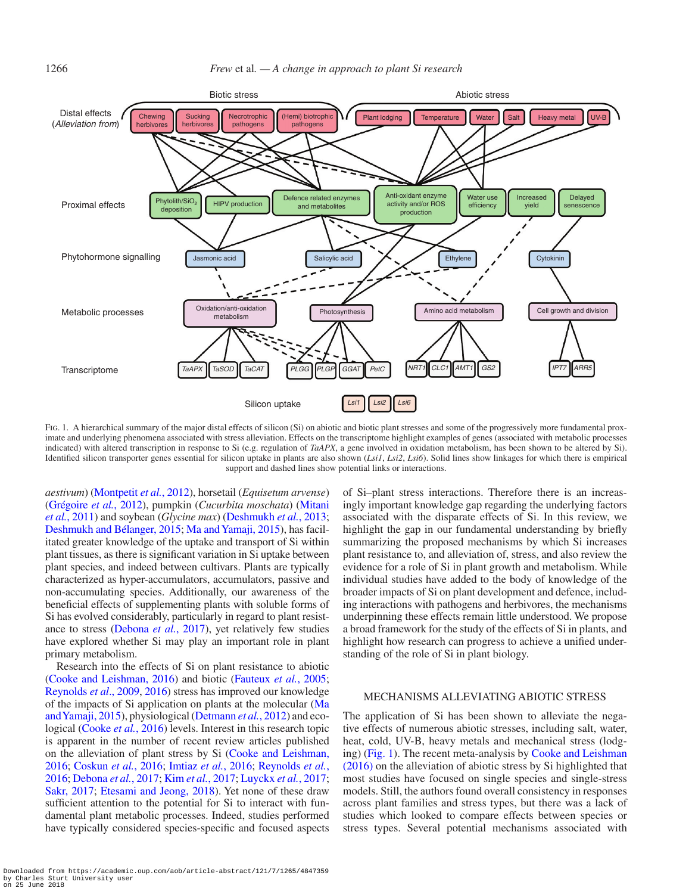

<span id="page-1-0"></span>Fig. 1. A hierarchical summary of the major distal effects of silicon (Si) on abiotic and biotic plant stresses and some of the progressively more fundamental proximate and underlying phenomena associated with stress alleviation. Effects on the transcriptome highlight examples of genes (associated with metabolic processes indicated) with altered transcription in response to Si (e.g. regulation of *TaAPX*, a gene involved in oxidation metabolism, has been shown to be altered by Si). Identified silicon transporter genes essential for silicon uptake in plants are also shown (*Lsi1*, *Lsi2*, *Lsi6*). Solid lines show linkages for which there is empirical support and dashed lines show potential links or interactions.

*aestivum*) [\(Montpetit](#page-7-3) *et al.*, 2012), horsetail (*Equisetum arvense*) [\(Grégoire](#page-6-11) *et al.*, 2012), pumpkin (*Cucurbita moschata*) [\(Mitani](#page-7-4)  *et al.*[, 2011](#page-7-4)) and soybean (*Glycine max*) [\(Deshmukh](#page-6-12) *et al.*, 2013; [Deshmukh and Bélanger, 2015](#page-6-13); [Ma and Yamaji, 2015\)](#page-7-5), has facilitated greater knowledge of the uptake and transport of Si within plant tissues, as there is significant variation in Si uptake between plant species, and indeed between cultivars. Plants are typically characterized as hyper-accumulators, accumulators, passive and non-accumulating species. Additionally, our awareness of the beneficial effects of supplementing plants with soluble forms of Si has evolved considerably, particularly in regard to plant resistance to stress [\(Debona](#page-6-1) *et al.*, 2017), yet relatively few studies have explored whether Si may play an important role in plant primary metabolism.

Research into the effects of Si on plant resistance to abiotic [\(Cooke and Leishman, 2016](#page-6-14)) and biotic ([Fauteux](#page-6-15) *et al.*, 2005; [Reynolds](#page-8-3) *et al*., 2009, [2016\)](#page-8-4) stress has improved our knowledge of the impacts of Si application on plants at the molecular [\(Ma](#page-7-5)  [and Yamaji, 2015](#page-7-5)), physiological ([Detmann](#page-6-5) *et al.*, 2012) and ecological [\(Cooke](#page-6-16) *et al.*, 2016) levels. Interest in this research topic is apparent in the number of recent review articles published on the alleviation of plant stress by Si ([Cooke and Leishman,](#page-6-14)  [2016;](#page-6-14) [Coskun](#page-6-17) *et al.*, 2016; [Imtiaz](#page-7-6) *et al.*, 2016; [Reynolds](#page-8-4) *et al.*, [2016;](#page-8-4) [Debona](#page-6-1) *et al.*, 2017; Kim *et al.*[, 2017](#page-7-7); [Luyckx](#page-7-8) *et al.*, 2017; [Sakr, 2017](#page-8-5); [Etesami and Jeong, 2018](#page-6-18)). Yet none of these draw sufficient attention to the potential for Si to interact with fundamental plant metabolic processes. Indeed, studies performed have typically considered species-specific and focused aspects

of Si–plant stress interactions. Therefore there is an increasingly important knowledge gap regarding the underlying factors associated with the disparate effects of Si. In this review, we highlight the gap in our fundamental understanding by briefly summarizing the proposed mechanisms by which Si increases plant resistance to, and alleviation of, stress, and also review the evidence for a role of Si in plant growth and metabolism. While individual studies have added to the body of knowledge of the broader impacts of Si on plant development and defence, including interactions with pathogens and herbivores, the mechanisms underpinning these effects remain little understood. We propose a broad framework for the study of the effects of Si in plants, and highlight how research can progress to achieve a unified understanding of the role of Si in plant biology.

### MECHANISMS ALLEVIATING ABIOTIC STRESS

The application of Si has been shown to alleviate the negative effects of numerous abiotic stresses, including salt, water, heat, cold, UV-B, heavy metals and mechanical stress (lodging) [\(Fig. 1](#page-1-0)). The recent meta-analysis by [Cooke and Leishman](#page-6-14)  [\(2016\)](#page-6-14) on the alleviation of abiotic stress by Si highlighted that most studies have focused on single species and single-stress models. Still, the authors found overall consistency in responses across plant families and stress types, but there was a lack of studies which looked to compare effects between species or stress types. Several potential mechanisms associated with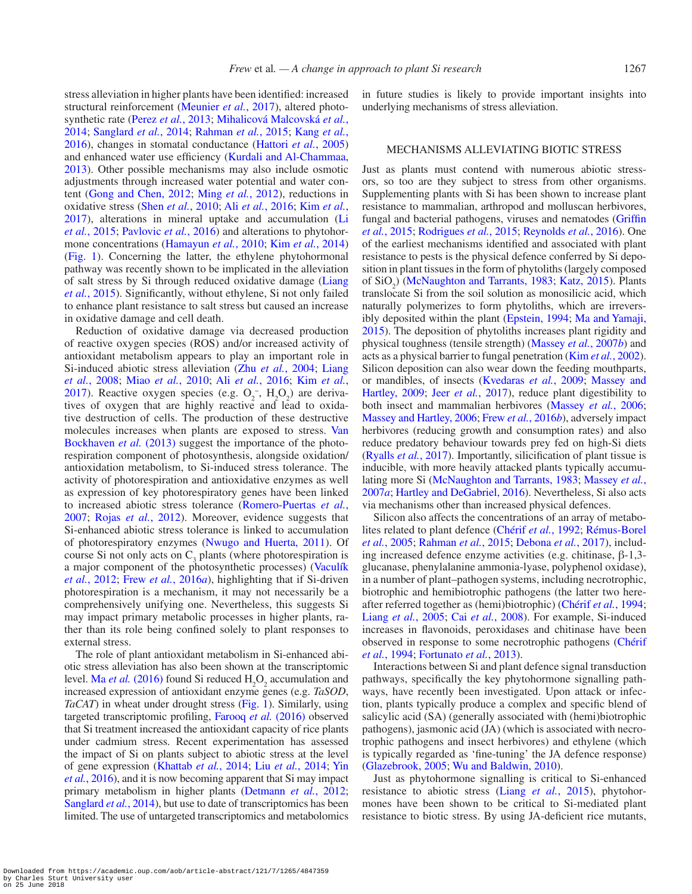stress alleviation in higher plants have been identified: increased structural reinforcement [\(Meunier](#page-7-9) *et al.*, 2017), altered photosynthetic rate (Perez *et al.*[, 2013;](#page-7-10) [Mihalicová Malcovská](#page-7-11) *et al.*, [2014;](#page-7-11) [Sanglard](#page-8-6) *et al.*, 2014; [Rahman](#page-7-12) *et al.*, 2015; [Kang](#page-7-13) *et al.*, [2016](#page-7-13)), changes in stomatal conductance ([Hattori](#page-6-19) *et al.*, 2005) and enhanced water use efficiency ([Kurdali and Al-Chammaa,](#page-7-14) [2013](#page-7-14)). Other possible mechanisms may also include osmotic adjustments through increased water potential and water content ([Gong and Chen, 2012;](#page-6-20) Ming *et al.*[, 2012\)](#page-7-15), reductions in oxidative stress (Shen *et al.*[, 2010](#page-8-7); Ali *et al.*[, 2016;](#page-6-21) [Kim](#page-7-7) *et al.*, [2017](#page-7-7)), alterations in mineral uptake and accumulation ([Li](#page-7-16) *et al.*[, 2015;](#page-7-16) [Pavlovic](#page-7-17) *et al.*, 2016) and alterations to phytohormone concentrations [\(Hamayun](#page-6-22) *et al.*, 2010; Kim *et al.*[, 2014](#page-7-18)) [\(Fig. 1\)](#page-1-0). Concerning the latter, the ethylene phytohormonal pathway was recently shown to be implicated in the alleviation of salt stress by Si through reduced oxidative damage [\(Liang](#page-7-19) *et al.*[, 2015](#page-7-19)). Significantly, without ethylene, Si not only failed to enhance plant resistance to salt stress but caused an increase in oxidative damage and cell death.

Reduction of oxidative damage via decreased production of reactive oxygen species (ROS) and/or increased activity of antioxidant metabolism appears to play an important role in Si-induced abiotic stress alleviation (Zhu *et al.*[, 2004](#page-8-8); [Liang](#page-7-20) *et al.*[, 2008](#page-7-20); Miao *et al.*[, 2010;](#page-7-21) Ali *et al.*[, 2016;](#page-6-21) Kim *[et al.](#page-7-7)*, [2017](#page-7-7)). Reactive oxygen species (e.g.  $O_2^-$ ,  $H_2O_2$ ) are derivatives of oxygen that are highly reactive and lead to oxidative destruction of cells. The production of these destructive molecules increases when plants are exposed to stress. [Van](#page-6-23) [Bockhaven](#page-6-23) *et al.* (2013) suggest the importance of the photorespiration component of photosynthesis, alongside oxidation/ antioxidation metabolism, to Si-induced stress tolerance. The activity of photorespiration and antioxidative enzymes as well as expression of key photorespiratory genes have been linked to increased abiotic stress tolerance [\(Romero-Puertas](#page-8-9) *et al.*, [2007](#page-8-9); Rojas *et al.*[, 2012\)](#page-8-10). Moreover, evidence suggests that Si-enhanced abiotic stress tolerance is linked to accumulation of photorespiratory enzymes [\(Nwugo and Huerta, 2011](#page-7-22)). Of course Si not only acts on  $C_3$  plants (where photorespiration is a major component of the photosynthetic processes) ([Vaculík](#page-8-11) *et al.*[, 2012](#page-8-11); Frew *et al.*[, 2016](#page-6-24)*a*), highlighting that if Si-driven photorespiration is a mechanism, it may not necessarily be a comprehensively unifying one. Nevertheless, this suggests Si may impact primary metabolic processes in higher plants, rather than its role being confined solely to plant responses to external stress.

The role of plant antioxidant metabolism in Si-enhanced abiotic stress alleviation has also been shown at the transcriptomic level. Ma *et al.* [\(2016\)](#page-7-23) found Si reduced  $H_2O_2$  accumulation and increased expression of antioxidant enzyme genes (e.g. *TaSOD*, *TaCAT*) in wheat under drought stress [\(Fig. 1](#page-1-0)). Similarly, using targeted transcriptomic profiling, [Farooq](#page-6-25) *et al.* (2016) observed that Si treatment increased the antioxidant capacity of rice plants under cadmium stress. Recent experimentation has assessed the impact of Si on plants subject to abiotic stress at the level of gene expression [\(Khattab](#page-7-24) *et al.*, 2014; Liu *et al.*[, 2014;](#page-7-25) [Yin](#page-8-12) *et al.*[, 2016](#page-8-12)), and it is now becoming apparent that Si may impact primary metabolism in higher plants [\(Detmann](#page-6-5) *et al.*, 2012; [Sanglard](#page-8-6) *et al.*, 2014), but use to date of transcriptomics has been limited. The use of untargeted transcriptomics and metabolomics

in future studies is likely to provide important insights into underlying mechanisms of stress alleviation.

## MECHANISMS ALLEVIATING BIOTIC STRESS

Just as plants must contend with numerous abiotic stressors, so too are they subject to stress from other organisms. Supplementing plants with Si has been shown to increase plant resistance to mammalian, arthropod and molluscan herbivores, fungal and bacterial pathogens, viruses and nematodes [\(Griffin](#page-6-26) *et al.*[, 2015;](#page-6-26) [Rodrigues](#page-8-13) *et al.*, 2015; [Reynolds](#page-8-4) *et al.*, 2016). One of the earliest mechanisms identified and associated with plant resistance to pests is the physical defence conferred by Si deposition in plant tissues in the form of phytoliths (largely composed of SiO<sub>2</sub>) ([McNaughton and Tarrants, 1983](#page-7-26); [Katz, 2015](#page-7-27)). Plants translocate Si from the soil solution as monosilicic acid, which naturally polymerizes to form phytoliths, which are irreversibly deposited within the plant ([Epstein, 1994](#page-6-7); [Ma and Yamaji,](#page-7-5)  [2015](#page-7-5)). The deposition of phytoliths increases plant rigidity and physical toughness (tensile strength) [\(Massey](#page-7-28) *et al.*, 2007*b*) and acts as a physical barrier to fungal penetration (Kim *et al.*[, 2002](#page-7-29)). Silicon deposition can also wear down the feeding mouthparts, or mandibles, of insects [\(Kvedaras](#page-7-30) *et al.*, 2009; [Massey and](#page-7-31)  [Hartley, 2009;](#page-7-31) Jeer *et al.*[, 2017](#page-7-32)), reduce plant digestibility to both insect and mammalian herbivores [\(Massey](#page-7-33) *et al.*, 2006; [Massey and Hartley, 2006](#page-7-34); Frew *et al.*[, 2016](#page-6-27)*b*), adversely impact herbivores (reducing growth and consumption rates) and also reduce predatory behaviour towards prey fed on high-Si diets ([Ryalls](#page-8-14) *et al.*, 2017). Importantly, silicification of plant tissue is inducible, with more heavily attacked plants typically accumulating more Si ([McNaughton and Tarrants, 1983](#page-7-26); [Massey](#page-7-35) *et al.*, [2007](#page-7-35)*a*; [Hartley and DeGabriel, 2016](#page-6-28)). Nevertheless, Si also acts via mechanisms other than increased physical defences.

Silicon also affects the concentrations of an array of metabolites related to plant defence ([Chérif](#page-6-29) *et al.*, 1992; [Rémus-Borel](#page-8-15) *et al.*[, 2005](#page-8-15); [Rahman](#page-7-12) *et al.*, 2015; [Debona](#page-6-1) *et al.*, 2017), including increased defence enzyme activities (e.g. chitinase, β-1,3 glucanase, phenylalanine ammonia-lyase, polyphenol oxidase), in a number of plant–pathogen systems, including necrotrophic, biotrophic and hemibiotrophic pathogens (the latter two hereafter referred together as (hemi)biotrophic) [\(Chérif](#page-6-30) *et al.*, 1994; Liang *et al.*[, 2005;](#page-7-36) Cai *et al.*[, 2008](#page-6-31)). For example, Si-induced increases in flavonoids, peroxidases and chitinase have been observed in response to some necrotrophic pathogens [\(Chérif](#page-6-30) *et al.*[, 1994;](#page-6-30) [Fortunato](#page-6-32) *et al.*, 2013).

Interactions between Si and plant defence signal transduction pathways, specifically the key phytohormone signalling pathways, have recently been investigated. Upon attack or infection, plants typically produce a complex and specific blend of salicylic acid (SA) (generally associated with (hemi)biotrophic pathogens), jasmonic acid (JA) (which is associated with necrotrophic pathogens and insect herbivores) and ethylene (which is typically regarded as 'fine-tuning' the JA defence response) ([Glazebrook, 2005](#page-6-33); [Wu and Baldwin, 2010\)](#page-8-16).

Just as phytohormone signalling is critical to Si-enhanced resistance to abiotic stress (Liang *et al.*[, 2015\)](#page-7-19), phytohormones have been shown to be critical to Si-mediated plant resistance to biotic stress. By using JA-deficient rice mutants,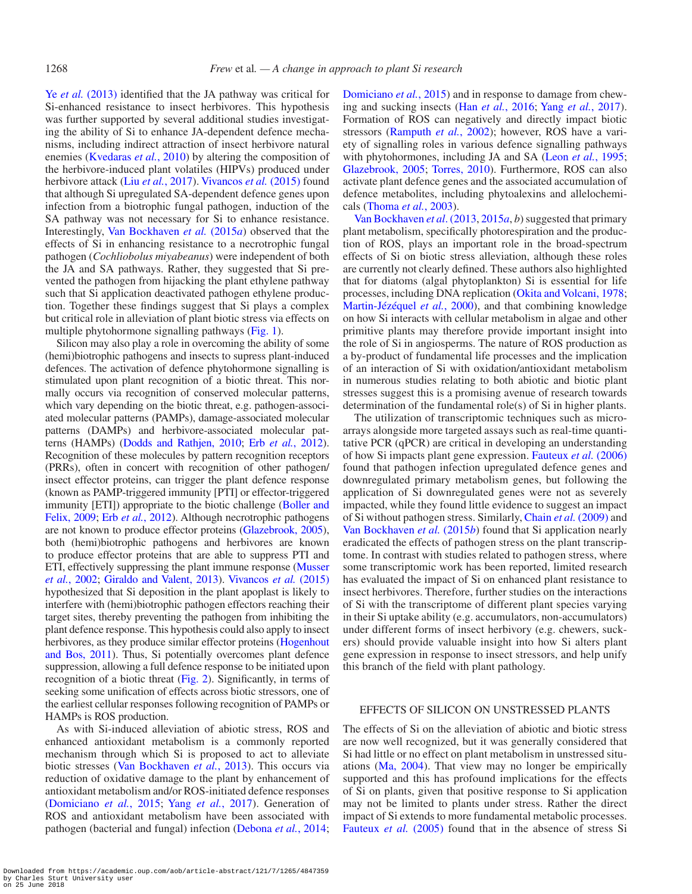Ye *et al.* [\(2013\)](#page-8-17) identified that the JA pathway was critical for Si-enhanced resistance to insect herbivores. This hypothesis was further supported by several additional studies investigating the ability of Si to enhance JA-dependent defence mechanisms, including indirect attraction of insect herbivore natural enemies ([Kvedaras](#page-7-37) *et al.*, 2010) by altering the composition of the herbivore-induced plant volatiles (HIPVs) produced under herbivore attack (Liu *et al.*[, 2017](#page-7-38)). [Vivancos](#page-8-18) *et al.* (2015) found that although Si upregulated SA-dependent defence genes upon infection from a biotrophic fungal pathogen, induction of the SA pathway was not necessary for Si to enhance resistance. Interestingly, [Van Bockhaven](#page-6-34) *et al.* (2015*a*) observed that the effects of Si in enhancing resistance to a necrotrophic fungal pathogen (*Cochliobolus miyabeanus*) were independent of both the JA and SA pathways. Rather, they suggested that Si prevented the pathogen from hijacking the plant ethylene pathway such that Si application deactivated pathogen ethylene production. Together these findings suggest that Si plays a complex but critical role in alleviation of plant biotic stress via effects on multiple phytohormone signalling pathways [\(Fig. 1](#page-1-0)).

Silicon may also play a role in overcoming the ability of some (hemi)biotrophic pathogens and insects to supress plant-induced defences. The activation of defence phytohormone signalling is stimulated upon plant recognition of a biotic threat. This normally occurs via recognition of conserved molecular patterns, which vary depending on the biotic threat, e.g. pathogen-associated molecular patterns (PAMPs), damage-associated molecular patterns (DAMPs) and herbivore-associated molecular patterns (HAMPs) [\(Dodds and Rathjen, 2010;](#page-6-35) Erb *et al.*[, 2012\)](#page-6-36). Recognition of these molecules by pattern recognition receptors (PRRs), often in concert with recognition of other pathogen/ insect effector proteins, can trigger the plant defence response (known as PAMP-triggered immunity [PTI] or effector-triggered immunity [ETI]) appropriate to the biotic challenge [\(Boller and](#page-6-37)  [Felix, 2009;](#page-6-37) Erb *et al.*[, 2012\)](#page-6-36). Although necrotrophic pathogens are not known to produce effector proteins [\(Glazebrook, 2005\)](#page-6-33), both (hemi)biotrophic pathogens and herbivores are known to produce effector proteins that are able to suppress PTI and ETI, effectively suppressing the plant immune response ([Musser](#page-7-39)  *et al.*[, 2002](#page-7-39); [Giraldo and Valent, 2013](#page-6-38)). [Vivancos](#page-8-18) *et al.* (2015) hypothesized that Si deposition in the plant apoplast is likely to interfere with (hemi)biotrophic pathogen effectors reaching their target sites, thereby preventing the pathogen from inhibiting the plant defence response. This hypothesis could also apply to insect herbivores, as they produce similar effector proteins ([Hogenhout](#page-6-39)  [and Bos, 2011](#page-6-39)). Thus, Si potentially overcomes plant defence suppression, allowing a full defence response to be initiated upon recognition of a biotic threat [\(Fig. 2\)](#page-4-0). Significantly, in terms of seeking some unification of effects across biotic stressors, one of the earliest cellular responses following recognition of PAMPs or HAMPs is ROS production.

As with Si-induced alleviation of abiotic stress, ROS and enhanced antioxidant metabolism is a commonly reported mechanism through which Si is proposed to act to alleviate biotic stresses ([Van Bockhaven](#page-6-23) *et al.*, 2013). This occurs via reduction of oxidative damage to the plant by enhancement of antioxidant metabolism and/or ROS-initiated defence responses [\(Domiciano](#page-6-40) *et al.*, 2015; Yang *et al.*[, 2017](#page-8-19)). Generation of ROS and antioxidant metabolism have been associated with pathogen (bacterial and fungal) infection ([Debona](#page-6-41) *et al.*, 2014;

[Domiciano](#page-6-40) *et al.*, 2015) and in response to damage from chewing and sucking insects (Han *et al.*[, 2016;](#page-6-42) Yang *et al.*[, 2017](#page-8-19)). Formation of ROS can negatively and directly impact biotic stressors [\(Ramputh](#page-7-40) *et al.*, 2002); however, ROS have a variety of signalling roles in various defence signalling pathways with phytohormones, including JA and SA (Leon *et al.*[, 1995](#page-7-41); [Glazebrook, 2005](#page-6-33); [Torres, 2010\)](#page-8-20). Furthermore, ROS can also activate plant defence genes and the associated accumulation of defence metabolites, including phytoalexins and allelochemicals ([Thoma](#page-8-21) *et al.*, 2003).

[Van Bockhaven](#page-6-23) *et al*. (2013, [2015](#page-6-34)*a*, *b*) suggested that primary plant metabolism, specifically photorespiration and the production of ROS, plays an important role in the broad-spectrum effects of Si on biotic stress alleviation, although these roles are currently not clearly defined. These authors also highlighted that for diatoms (algal phytoplankton) Si is essential for life processes, including DNA replication [\(Okita and Volcani, 1978](#page-7-42); [Martin-Jézéquel](#page-7-43) *et al.*, 2000), and that combining knowledge on how Si interacts with cellular metabolism in algae and other primitive plants may therefore provide important insight into the role of Si in angiosperms. The nature of ROS production as a by-product of fundamental life processes and the implication of an interaction of Si with oxidation/antioxidant metabolism in numerous studies relating to both abiotic and biotic plant stresses suggest this is a promising avenue of research towards determination of the fundamental role(s) of Si in higher plants.

The utilization of transcriptomic techniques such as microarrays alongside more targeted assays such as real-time quantitative PCR (qPCR) are critical in developing an understanding of how Si impacts plant gene expression. [Fauteux](#page-6-43) *et al.* (2006) found that pathogen infection upregulated defence genes and downregulated primary metabolism genes, but following the application of Si downregulated genes were not as severely impacted, while they found little evidence to suggest an impact of Si without pathogen stress. Similarly, Chain *et al.* [\(2009\)](#page-6-44) and [Van Bockhaven](#page-6-6) *et al.* (2015*b*) found that Si application nearly eradicated the effects of pathogen stress on the plant transcriptome. In contrast with studies related to pathogen stress, where some transcriptomic work has been reported, limited research has evaluated the impact of Si on enhanced plant resistance to insect herbivores. Therefore, further studies on the interactions of Si with the transcriptome of different plant species varying in their Si uptake ability (e.g. accumulators, non-accumulators) under different forms of insect herbivory (e.g. chewers, suckers) should provide valuable insight into how Si alters plant gene expression in response to insect stressors, and help unify this branch of the field with plant pathology.

# EFFECTS OF SILICON ON UNSTRESSED PLANTS

The effects of Si on the alleviation of abiotic and biotic stress are now well recognized, but it was generally considered that Si had little or no effect on plant metabolism in unstressed situations ([Ma, 2004](#page-7-44)). That view may no longer be empirically supported and this has profound implications for the effects of Si on plants, given that positive response to Si application may not be limited to plants under stress. Rather the direct impact of Si extends to more fundamental metabolic processes. [Fauteux](#page-6-15) *et al.* (2005) found that in the absence of stress Si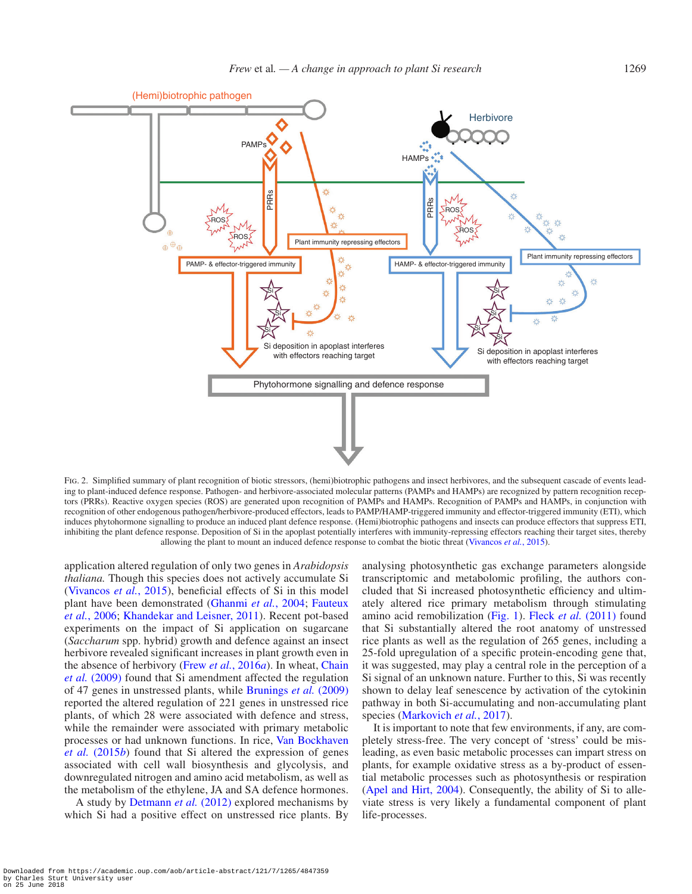

<span id="page-4-0"></span>Fig. 2. Simplified summary of plant recognition of biotic stressors, (hemi)biotrophic pathogens and insect herbivores, and the subsequent cascade of events leading to plant-induced defence response. Pathogen- and herbivore-associated molecular patterns (PAMPs and HAMPs) are recognized by pattern recognition receptors (PRRs). Reactive oxygen species (ROS) are generated upon recognition of PAMPs and HAMPs. Recognition of PAMPs and HAMPs, in conjunction with recognition of other endogenous pathogen/herbivore-produced effectors, leads to PAMP/HAMP-triggered immunity and effector-triggered immunity (ETI), which induces phytohormone signalling to produce an induced plant defence response. (Hemi)biotrophic pathogens and insects can produce effectors that suppress ETI, inhibiting the plant defence response. Deposition of Si in the apoplast potentially interferes with immunity-repressing effectors reaching their target sites, thereby allowing the plant to mount an induced defence response to combat the biotic threat ([Vivancos](#page-8-18) *et al.*, 2015).

application altered regulation of only two genes in *Arabidopsis thaliana.* Though this species does not actively accumulate Si [\(Vivancos](#page-8-18) *et al.*, 2015), beneficial effects of Si in this model plant have been demonstrated ([Ghanmi](#page-6-45) *et al.*, 2004; [Fauteux](#page-6-43) *et al.*[, 2006](#page-6-43); [Khandekar and Leisner, 2011](#page-7-45)). Recent pot-based experiments on the impact of Si application on sugarcane (*Saccharum* spp. hybrid) growth and defence against an insect herbivore revealed significant increases in plant growth even in the absence of herbivory (Frew *et al.*[, 2016](#page-6-24)*a*). In wheat, [Chain](#page-6-44) *et al.* [\(2009\)](#page-6-44) found that Si amendment affected the regulation of 47 genes in unstressed plants, while [Brunings](#page-6-46) *et al.* (2009) reported the altered regulation of 221 genes in unstressed rice plants, of which 28 were associated with defence and stress, while the remainder were associated with primary metabolic processes or had unknown functions. In rice, [Van Bockhaven](#page-6-6) *et al.* [\(2015](#page-6-6)*b*) found that Si altered the expression of genes associated with cell wall biosynthesis and glycolysis, and downregulated nitrogen and amino acid metabolism, as well as the metabolism of the ethylene, JA and SA defence hormones.

A study by [Detmann](#page-6-5) *et al.* (2012) explored mechanisms by which Si had a positive effect on unstressed rice plants. By analysing photosynthetic gas exchange parameters alongside transcriptomic and metabolomic profiling, the authors concluded that Si increased photosynthetic efficiency and ultimately altered rice primary metabolism through stimulating amino acid remobilization ([Fig. 1](#page-1-0)). Fleck *et al.* [\(2011\)](#page-6-47) found that Si substantially altered the root anatomy of unstressed rice plants as well as the regulation of 265 genes, including a 25-fold upregulation of a specific protein-encoding gene that, it was suggested, may play a central role in the perception of a Si signal of an unknown nature. Further to this, Si was recently shown to delay leaf senescence by activation of the cytokinin pathway in both Si-accumulating and non-accumulating plant species ([Markovich](#page-7-46) *et al.*, 2017).

It is important to note that few environments, if any, are completely stress-free. The very concept of 'stress' could be misleading, as even basic metabolic processes can impart stress on plants, for example oxidative stress as a by-product of essential metabolic processes such as photosynthesis or respiration ([Apel and Hirt, 2004](#page-6-48)). Consequently, the ability of Si to alleviate stress is very likely a fundamental component of plant life-processes.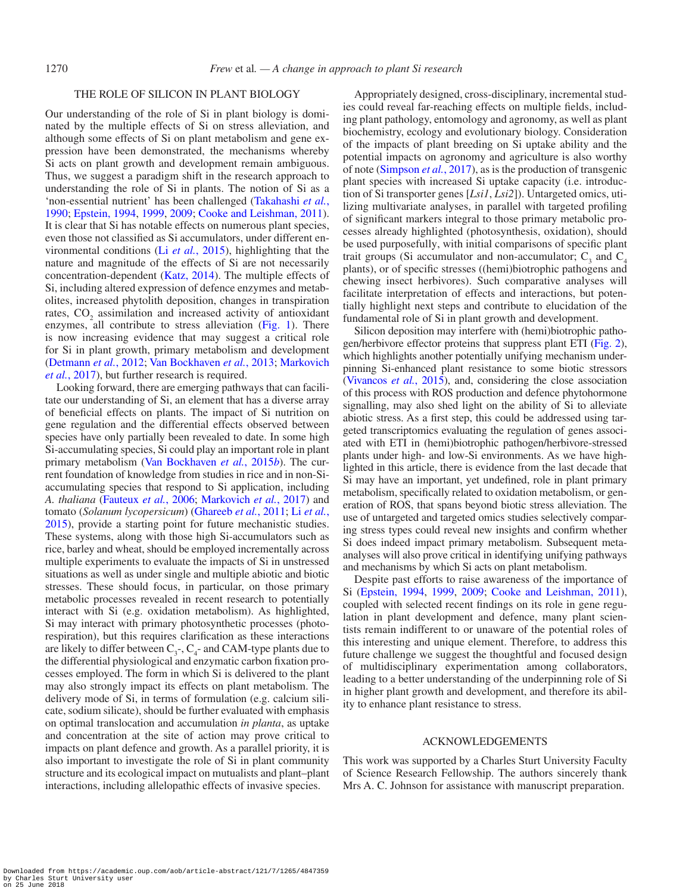## THE ROLE OF SILICON IN PLANT BIOLOGY

Our understanding of the role of Si in plant biology is dominated by the multiple effects of Si on stress alleviation, and although some effects of Si on plant metabolism and gene expression have been demonstrated, the mechanisms whereby Si acts on plant growth and development remain ambiguous. Thus, we suggest a paradigm shift in the research approach to understanding the role of Si in plants. The notion of Si as a 'non-essential nutrient' has been challenged ([Takahashi](#page-8-22) *et al.*, [1990](#page-8-22); [Epstein, 1994](#page-6-7), [1999](#page-6-2), [2009](#page-6-0); [Cooke and Leishman, 2011\)](#page-6-49). It is clear that Si has notable effects on numerous plant species, even those not classified as Si accumulators, under different environmental conditions (Li *et al.*[, 2015](#page-7-16)), highlighting that the nature and magnitude of the effects of Si are not necessarily concentration-dependent [\(Katz, 2014\)](#page-7-47). The multiple effects of Si, including altered expression of defence enzymes and metabolites, increased phytolith deposition, changes in transpiration rates,  $CO<sub>2</sub>$  assimilation and increased activity of antioxidant enzymes, all contribute to stress alleviation (Fig. 1). There is now increasing evidence that may suggest a critical role for Si in plant growth, primary metabolism and development [\(Detmann](#page-6-5) *et al.*, 2012; [Van Bockhaven](#page-6-23) *et al.*, 2013; [Markovich](#page-7-46)  *et al.*[, 2017\)](#page-7-46), but further research is required.

Looking forward, there are emerging pathways that can facilitate our understanding of Si, an element that has a diverse array of beneficial effects on plants. The impact of Si nutrition on gene regulation and the differential effects observed between species have only partially been revealed to date. In some high Si-accumulating species, Si could play an important role in plant primary metabolism [\(Van Bockhaven](#page-6-6) *et al.*, 2015*b*). The current foundation of knowledge from studies in rice and in non-Siaccumulating species that respond to Si application, including *A. thaliana* [\(Fauteux](#page-6-43) *et al.*, 2006; [Markovich](#page-7-46) *et al.*, 2017) and tomato (*Solanum lycopersicum*) [\(Ghareeb](#page-6-50) *et al.*, 2011; Li *[et al.](#page-7-16)*, [2015\)](#page-7-16), provide a starting point for future mechanistic studies. These systems, along with those high Si-accumulators such as rice, barley and wheat, should be employed incrementally across multiple experiments to evaluate the impacts of Si in unstressed situations as well as under single and multiple abiotic and biotic stresses. These should focus, in particular, on those primary metabolic processes revealed in recent research to potentially interact with Si (e.g. oxidation metabolism). As highlighted, Si may interact with primary photosynthetic processes (photorespiration), but this requires clarification as these interactions are likely to differ between  $C_3$ -,  $C_4$ - and CAM-type plants due to the differential physiological and enzymatic carbon fixation processes employed. The form in which Si is delivered to the plant may also strongly impact its effects on plant metabolism. The delivery mode of Si, in terms of formulation (e.g. calcium silicate, sodium silicate), should be further evaluated with emphasis on optimal translocation and accumulation *in planta*, as uptake and concentration at the site of action may prove critical to impacts on plant defence and growth. As a parallel priority, it is also important to investigate the role of Si in plant community structure and its ecological impact on mutualists and plant–plant interactions, including allelopathic effects of invasive species.

Appropriately designed, cross-disciplinary, incremental studies could reveal far-reaching effects on multiple fields, including plant pathology, entomology and agronomy, as well as plant biochemistry, ecology and evolutionary biology. Consideration of the impacts of plant breeding on Si uptake ability and the potential impacts on agronomy and agriculture is also worthy of note [\(Simpson](#page-8-23) *et al.*, 2017), as is the production of transgenic plant species with increased Si uptake capacity (i.e. introduction of Si transporter genes [*Lsi1*, *Lsi2*]). Untargeted omics, utilizing multivariate analyses, in parallel with targeted profiling of significant markers integral to those primary metabolic processes already highlighted (photosynthesis, oxidation), should be used purposefully, with initial comparisons of specific plant trait groups (Si accumulator and non-accumulator;  $C_3$  and  $C_4$ plants), or of specific stresses ((hemi)biotrophic pathogens and chewing insect herbivores). Such comparative analyses will facilitate interpretation of effects and interactions, but potentially highlight next steps and contribute to elucidation of the fundamental role of Si in plant growth and development.

Silicon deposition may interfere with (hemi)biotrophic pathogen/herbivore effector proteins that suppress plant ETI [\(Fig. 2](#page-4-0)), which highlights another potentially unifying mechanism underpinning Si-enhanced plant resistance to some biotic stressors ([Vivancos](#page-8-18) *et al.*, 2015), and, considering the close association of this process with ROS production and defence phytohormone signalling, may also shed light on the ability of Si to alleviate abiotic stress. As a first step, this could be addressed using targeted transcriptomics evaluating the regulation of genes associated with ETI in (hemi)biotrophic pathogen/herbivore-stressed plants under high- and low-Si environments. As we have highlighted in this article, there is evidence from the last decade that Si may have an important, yet undefined, role in plant primary metabolism, specifically related to oxidation metabolism, or generation of ROS, that spans beyond biotic stress alleviation. The use of untargeted and targeted omics studies selectively comparing stress types could reveal new insights and confirm whether Si does indeed impact primary metabolism. Subsequent metaanalyses will also prove critical in identifying unifying pathways and mechanisms by which Si acts on plant metabolism.

Despite past efforts to raise awareness of the importance of Si [\(Epstein, 1994,](#page-6-7) [1999,](#page-6-2) [2009](#page-6-0); [Cooke and Leishman, 2011](#page-6-49)), coupled with selected recent findings on its role in gene regulation in plant development and defence, many plant scientists remain indifferent to or unaware of the potential roles of this interesting and unique element. Therefore, to address this future challenge we suggest the thoughtful and focused design of multidisciplinary experimentation among collaborators, leading to a better understanding of the underpinning role of Si in higher plant growth and development, and therefore its ability to enhance plant resistance to stress.

#### ACKNOWLEDGEMENTS

This work was supported by a Charles Sturt University Faculty of Science Research Fellowship. The authors sincerely thank Mrs A. C. Johnson for assistance with manuscript preparation.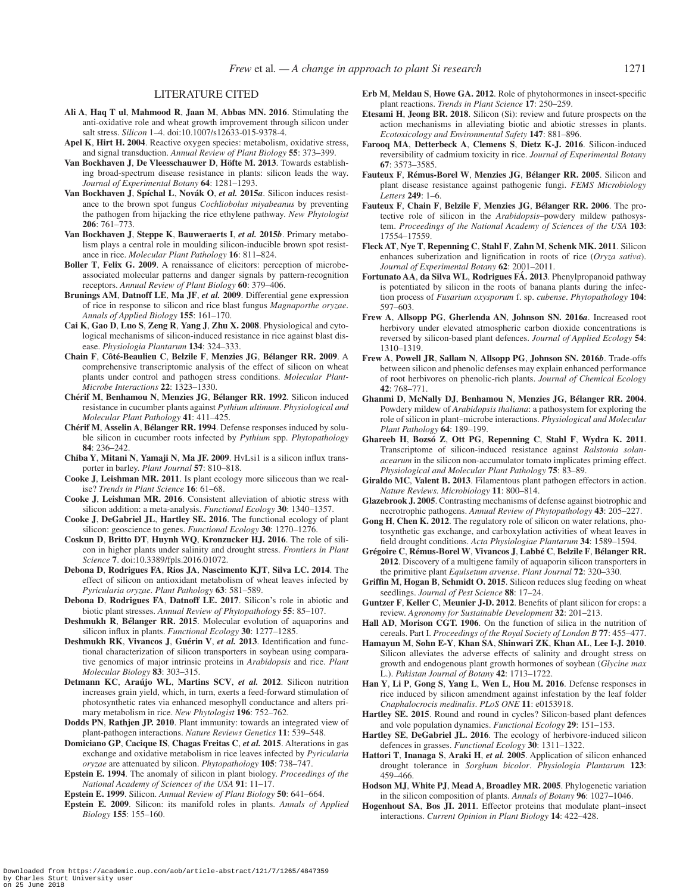## LITERATURE CITED

- <span id="page-6-21"></span>**Ali A**, **Haq T ul**, **Mahmood R**, **Jaan M**, **Abbas MN. 2016**. Stimulating the anti-oxidative role and wheat growth improvement through silicon under salt stress. *Silicon* 1–4. doi:10.1007/s12633-015-9378-4.
- <span id="page-6-48"></span>**Apel K**, **Hirt H. 2004**. Reactive oxygen species: metabolism, oxidative stress, and signal transduction. *Annual Review of Plant Biology* **55**: 373–399.
- <span id="page-6-23"></span>**Van Bockhaven J**, **De Vleesschauwer D**, **Höfte M. 2013**. Towards establishing broad-spectrum disease resistance in plants: silicon leads the way. *Journal of Experimental Botany* **64**: 1281–1293.
- <span id="page-6-34"></span>**Van Bockhaven J**, **Spíchal L**, **Novák O**, *et al.* **2015***a*. Silicon induces resistance to the brown spot fungus *Cochliobolus miyabeanus* by preventing the pathogen from hijacking the rice ethylene pathway. *New Phytologist* **206**: 761–773.
- <span id="page-6-6"></span>**Van Bockhaven J**, **Steppe K**, **Bauweraerts I**, *et al.* **2015***b*. Primary metabolism plays a central role in moulding silicon-inducible brown spot resistance in rice. *Molecular Plant Pathology* **16**: 811–824.
- <span id="page-6-37"></span>**Boller T**, **Felix G. 2009**. A renaissance of elicitors: perception of microbeassociated molecular patterns and danger signals by pattern-recognition receptors. *Annual Review of Plant Biology* **60**: 379–406.
- <span id="page-6-46"></span>**Brunings AM**, **Datnoff LE**, **Ma JF**, *et al.* **2009**. Differential gene expression of rice in response to silicon and rice blast fungus *Magnaporthe oryzae*. *Annals of Applied Biology* **155**: 161–170.
- <span id="page-6-31"></span>**Cai K**, **Gao D**, **Luo S**, **Zeng R**, **Yang J**, **Zhu X. 2008**. Physiological and cytological mechanisms of silicon-induced resistance in rice against blast disease. *Physiologia Plantarum* **134**: 324–333.
- <span id="page-6-44"></span>**Chain F**, **Côté-Beaulieu C**, **Belzile F**, **Menzies JG**, **Bélanger RR. 2009**. A comprehensive transcriptomic analysis of the effect of silicon on wheat plants under control and pathogen stress conditions. *Molecular Plant-Microbe Interactions* **22**: 1323–1330.
- <span id="page-6-29"></span>**Chérif M**, **Benhamou N**, **Menzies JG**, **Bélanger RR. 1992**. Silicon induced resistance in cucumber plants against *Pythium ultimum*. *Physiological and Molecular Plant Pathology* **41**: 411–425.
- <span id="page-6-30"></span>**Chérif M**, **Asselin A**, **Bélanger RR. 1994**. Defense responses induced by soluble silicon in cucumber roots infected by *Pythium* spp. *Phytopathology* **84**: 236–242.
- <span id="page-6-10"></span>**Chiba Y**, **Mitani N**, **Yamaji N**, **Ma JF. 2009**. HvLsi1 is a silicon influx transporter in barley. *Plant Journal* **57**: 810–818.
- <span id="page-6-49"></span>**Cooke J**, **Leishman MR. 2011**. Is plant ecology more siliceous than we realise? *Trends in Plant Science* **16**: 61–68.
- <span id="page-6-14"></span>**Cooke J**, **Leishman MR. 2016**. Consistent alleviation of abiotic stress with silicon addition: a meta-analysis. *Functional Ecology* **30**: 1340–1357.
- <span id="page-6-16"></span>**Cooke J**, **DeGabriel JL**, **Hartley SE. 2016**. The functional ecology of plant silicon: geoscience to genes. *Functional Ecology* **30**: 1270–1276.
- <span id="page-6-17"></span>**Coskun D**, **Britto DT**, **Huynh WQ**, **Kronzucker HJ. 2016**. The role of silicon in higher plants under salinity and drought stress. *Frontiers in Plant Science* **7**. doi:10.3389/fpls.2016.01072.
- <span id="page-6-41"></span>**Debona D**, **Rodrigues FA**, **Rios JA**, **Nascimento KJT**, **Silva LC. 2014**. The effect of silicon on antioxidant metabolism of wheat leaves infected by *Pyricularia oryzae*. *Plant Pathology* **63**: 581–589.
- <span id="page-6-1"></span>**Debona D**, **Rodrigues FA**, **Datnoff LE. 2017**. Silicon's role in abiotic and biotic plant stresses. *Annual Review of Phytopathology* **55**: 85–107.
- <span id="page-6-13"></span>**Deshmukh R**, **Bélanger RR. 2015**. Molecular evolution of aquaporins and silicon influx in plants. *Functional Ecology* **30**: 1277–1285.
- <span id="page-6-12"></span>**Deshmukh RK**, **Vivancos J**, **Guérin V**, *et al.* **2013**. Identification and functional characterization of silicon transporters in soybean using comparative genomics of major intrinsic proteins in *Arabidopsis* and rice. *Plant Molecular Biology* **83**: 303–315.
- <span id="page-6-5"></span>**Detmann KC**, **Araújo WL**, **Martins SCV**, *et al.* **2012**. Silicon nutrition increases grain yield, which, in turn, exerts a feed-forward stimulation of photosynthetic rates via enhanced mesophyll conductance and alters primary metabolism in rice. *New Phytologist* **196**: 752–762.
- <span id="page-6-35"></span>**Dodds PN**, **Rathjen JP. 2010**. Plant immunity: towards an integrated view of plant-pathogen interactions. *Nature Reviews Genetics* **11**: 539–548.
- <span id="page-6-40"></span>**Domiciano GP**, **Cacique IS**, **Chagas Freitas C**, *et al.* **2015**. Alterations in gas exchange and oxidative metabolism in rice leaves infected by *Pyricularia oryzae* are attenuated by silicon. *Phytopathology* **105**: 738–747.
- <span id="page-6-7"></span>**Epstein E. 1994**. The anomaly of silicon in plant biology. *Proceedings of the National Academy of Sciences of the USA* **91**: 11–17.
- <span id="page-6-2"></span>**Epstein E. 1999**. Silicon. *Annual Review of Plant Biology* **50**: 641–664.
- <span id="page-6-0"></span>**Epstein E. 2009**. Silicon: its manifold roles in plants. *Annals of Applied Biology* **155**: 155–160.
- <span id="page-6-36"></span>**Erb M**, **Meldau S**, **Howe GA. 2012**. Role of phytohormones in insect-specific plant reactions. *Trends in Plant Science* **17**: 250–259.
- <span id="page-6-18"></span>**Etesami H**, **Jeong BR. 2018**. Silicon (Si): review and future prospects on the action mechanisms in alleviating biotic and abiotic stresses in plants. *Ecotoxicology and Environmental Safety* **147**: 881–896.
- <span id="page-6-25"></span>**Farooq MA**, **Detterbeck A**, **Clemens S**, **Dietz K-J. 2016**. Silicon-induced reversibility of cadmium toxicity in rice. *Journal of Experimental Botany* **67**: 3573–3585.
- <span id="page-6-15"></span>**Fauteux F**, **Rémus-Borel W**, **Menzies JG**, **Bélanger RR. 2005**. Silicon and plant disease resistance against pathogenic fungi. *FEMS Microbiology Letters* **249**: 1–6.
- <span id="page-6-43"></span>**Fauteux F**, **Chain F**, **Belzile F**, **Menzies JG**, **Bélanger RR. 2006**. The protective role of silicon in the *Arabidopsis*–powdery mildew pathosystem. *Proceedings of the National Academy of Sciences of the USA* **103**: 17554–17559.
- <span id="page-6-47"></span>**Fleck AT**, **Nye T**, **Repenning C**, **Stahl F**, **Zahn M**, **Schenk MK. 2011**. Silicon enhances suberization and lignification in roots of rice (*Oryza sativa*). *Journal of Experimental Botany* **62**: 2001–2011.
- <span id="page-6-32"></span>**Fortunato AA**, **da Silva WL**, **Rodrigues FÁ. 2013**. Phenylpropanoid pathway is potentiated by silicon in the roots of banana plants during the infection process of *Fusarium oxysporum* f. sp. *cubense*. *Phytopathology* **104**: 597–603.
- <span id="page-6-24"></span>**Frew A**, **Allsopp PG**, **Gherlenda AN**, **Johnson SN. 2016***a*. Increased root herbivory under elevated atmospheric carbon dioxide concentrations is reversed by silicon-based plant defences. *Journal of Applied Ecology* **54**: 1310–1319.
- <span id="page-6-27"></span>**Frew A**, **Powell JR**, **Sallam N**, **Allsopp PG**, **Johnson SN. 2016***b*. Trade-offs between silicon and phenolic defenses may explain enhanced performance of root herbivores on phenolic-rich plants. *Journal of Chemical Ecology* **42**: 768–771.
- <span id="page-6-45"></span>**Ghanmi D**, **McNally DJ**, **Benhamou N**, **Menzies JG**, **Bélanger RR. 2004**. Powdery mildew of *Arabidopsis thaliana*: a pathosystem for exploring the role of silicon in plant–microbe interactions. *Physiological and Molecular Plant Pathology* **64**: 189–199.
- <span id="page-6-50"></span>**Ghareeb H**, **Bozsó Z**, **Ott PG**, **Repenning C**, **Stahl F**, **Wydra K. 2011**. Transcriptome of silicon-induced resistance against *Ralstonia solanacearum* in the silicon non-accumulator tomato implicates priming effect. *Physiological and Molecular Plant Pathology* **75**: 83–89.
- <span id="page-6-38"></span>**Giraldo MC**, **Valent B. 2013**. Filamentous plant pathogen effectors in action. *Nature Reviews. Microbiology* **11**: 800–814.
- <span id="page-6-33"></span>**Glazebrook J. 2005**. Contrasting mechanisms of defense against biotrophic and necrotrophic pathogens. *Annual Review of Phytopathology* **43**: 205–227.
- <span id="page-6-20"></span>**Gong H**, **Chen K. 2012**. The regulatory role of silicon on water relations, photosynthetic gas exchange, and carboxylation activities of wheat leaves in field drought conditions. *Acta Physiologiae Plantarum* **34**: 1589–1594.
- <span id="page-6-11"></span>**Grégoire C**, **Rémus-Borel W**, **Vivancos J**, **Labbé C**, **Belzile F**, **Bélanger RR. 2012**. Discovery of a multigene family of aquaporin silicon transporters in the primitive plant *Equisetum arvense*. *Plant Journal* **72**: 320–330.
- <span id="page-6-26"></span>**Griffin M**, **Hogan B**, **Schmidt O. 2015**. Silicon reduces slug feeding on wheat seedlings. *Journal of Pest Science* **88**: 17–24.
- <span id="page-6-4"></span>**Guntzer F**, **Keller C**, **Meunier J-D. 2012**. Benefits of plant silicon for crops: a review. *Agronomy for Sustainable Development* **32**: 201–213.
- <span id="page-6-3"></span>**Hall AD**, **Morison CGT. 1906**. On the function of silica in the nutrition of cereals. Part I. *Proceedings of the Royal Society of London B* **77**: 455–477.
- <span id="page-6-22"></span>**Hamayun M**, **Sohn E-Y**, **Khan SA**, **Shinwari ZK**, **Khan AL**, **Lee I-J. 2010**. Silicon alleviates the adverse effects of salinity and drought stress on growth and endogenous plant growth hormones of soybean (*Glycine max* L.). *Pakistan Journal of Botany* **42**: 1713–1722.
- <span id="page-6-42"></span>**Han Y**, **Li P**, **Gong S**, **Yang L**, **Wen L**, **Hou M. 2016**. Defense responses in rice induced by silicon amendment against infestation by the leaf folder *Cnaphalocrocis medinalis*. *PLoS ONE* **11**: e0153918.
- <span id="page-6-8"></span>**Hartley SE. 2015**. Round and round in cycles? Silicon-based plant defences and vole population dynamics. *Functional Ecology* **29**: 151–153.
- <span id="page-6-28"></span>**Hartley SE**, **DeGabriel JL. 2016**. The ecology of herbivore-induced silicon defences in grasses. *Functional Ecology* **30**: 1311–1322.
- <span id="page-6-19"></span>**Hattori T**, **Inanaga S**, **Araki H**, *et al.* **2005**. Application of silicon enhanced drought tolerance in *Sorghum bicolor*. *Physiologia Plantarum* **123**: 459–466.
- <span id="page-6-9"></span>**Hodson MJ**, **White PJ**, **Mead A**, **Broadley MR. 2005**. Phylogenetic variation in the silicon composition of plants. *Annals of Botany* **96**: 1027–1046.
- <span id="page-6-39"></span>**Hogenhout SA**, **Bos JI. 2011**. Effector proteins that modulate plant–insect interactions. *Current Opinion in Plant Biology* **14**: 422–428.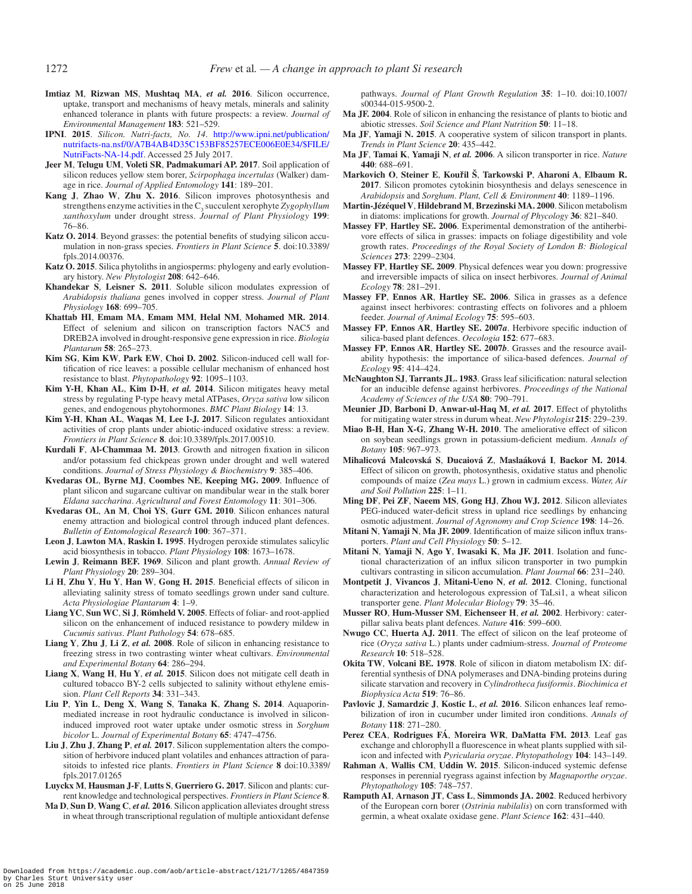- <span id="page-7-6"></span>**Imtiaz M**, **Rizwan MS**, **Mushtaq MA**, *et al.* **2016**. Silicon occurrence, uptake, transport and mechanisms of heavy metals, minerals and salinity enhanced tolerance in plants with future prospects: a review. *Journal of Environmental Management* **183**: 521–529.
- <span id="page-7-0"></span>**IPNI**. **2015**. *Silicon. Nutri-facts, No. 14*. [http://www.ipni.net/publication/](http://www.ipni.net/publication/nutrifacts-na.nsf/0/A7B4AB4D35C153BF85257ECE006E0E34/$FILE/NutriFacts-NA-14.pdf) [nutrifacts-na.nsf/0/A7B4AB4D35C153BF85257ECE006E0E34/\\$FILE/](http://www.ipni.net/publication/nutrifacts-na.nsf/0/A7B4AB4D35C153BF85257ECE006E0E34/$FILE/NutriFacts-NA-14.pdf) [NutriFacts-NA-14.pdf.](http://www.ipni.net/publication/nutrifacts-na.nsf/0/A7B4AB4D35C153BF85257ECE006E0E34/$FILE/NutriFacts-NA-14.pdf) Accessed 25 July 2017.
- <span id="page-7-32"></span>**Jeer M**, **Telugu UM**, **Voleti SR**, **Padmakumari AP. 2017**. Soil application of silicon reduces yellow stem borer, *Scirpophaga incertulas* (Walker) damage in rice. *Journal of Applied Entomology* **141**: 189–201.
- <span id="page-7-13"></span>**Kang J**, **Zhao W**, **Zhu X. 2016**. Silicon improves photosynthesis and strengthens enzyme activities in the C<sub>3</sub> succulent xerophyte *Zygophyllum xanthoxylum* under drought stress. *Journal of Plant Physiology* **199**: 76–86.
- <span id="page-7-47"></span>**Katz O. 2014**. Beyond grasses: the potential benefits of studying silicon accumulation in non-grass species. *Frontiers in Plant Science* **5**. doi:10.3389/ fpls.2014.00376.
- <span id="page-7-27"></span>**Katz O. 2015**. Silica phytoliths in angiosperms: phylogeny and early evolutionary history. *New Phytologist* **208**: 642–646.
- <span id="page-7-45"></span>**Khandekar S**, **Leisner S. 2011**. Soluble silicon modulates expression of *Arabidopsis thaliana* genes involved in copper stress. *Journal of Plant Physiology* **168**: 699–705.
- <span id="page-7-24"></span>**Khattab HI**, **Emam MA**, **Emam MM**, **Helal NM**, **Mohamed MR. 2014**. Effect of selenium and silicon on transcription factors NAC5 and DREB2A involved in drought-responsive gene expression in rice. *Biologia Plantarum* **58**: 265–273.
- <span id="page-7-29"></span>**Kim SG**, **Kim KW**, **Park EW**, **Choi D. 2002**. Silicon-induced cell wall fortification of rice leaves: a possible cellular mechanism of enhanced host resistance to blast. *Phytopathology* **92**: 1095–1103.
- <span id="page-7-18"></span>**Kim Y-H**, **Khan AL**, **Kim D-H**, *et al.* **2014**. Silicon mitigates heavy metal stress by regulating P-type heavy metal ATPases, *Oryza sativa* low silicon genes, and endogenous phytohormones. *BMC Plant Biology* **14**: 13.
- <span id="page-7-7"></span>**Kim Y-H**, **Khan AL**, **Waqas M**, **Lee I-J. 2017**. Silicon regulates antioxidant activities of crop plants under abiotic-induced oxidative stress: a review. *Frontiers in Plant Science* **8**. doi:10.3389/fpls.2017.00510.
- <span id="page-7-14"></span>**Kurdali F**, **Al-Chammaa M. 2013**. Growth and nitrogen fixation in silicon and/or potassium fed chickpeas grown under drought and well watered conditions. *Journal of Stress Physiology & Biochemistry* **9**: 385–406.
- <span id="page-7-30"></span>**Kvedaras OL**, **Byrne MJ**, **Coombes NE**, **Keeping MG. 2009**. Influence of plant silicon and sugarcane cultivar on mandibular wear in the stalk borer *Eldana saccharina*. *Agricultural and Forest Entomology* **11**: 301–306.
- <span id="page-7-37"></span>**Kvedaras OL**, **An M**, **Choi YS**, **Gurr GM. 2010**. Silicon enhances natural enemy attraction and biological control through induced plant defences. *Bulletin of Entomological Research* **100**: 367–371.
- <span id="page-7-41"></span>**Leon J**, **Lawton MA**, **Raskin I. 1995**. Hydrogen peroxide stimulates salicylic acid biosynthesis in tobacco. *Plant Physiology* **108**: 1673–1678.
- **Lewin J**, **Reimann BEF. 1969**. Silicon and plant growth. *Annual Review of Plant Physiology* **20**: 289–304.
- <span id="page-7-16"></span>**Li H**, **Zhu Y**, **Hu Y**, **Han W**, **Gong H. 2015**. Beneficial effects of silicon in alleviating salinity stress of tomato seedlings grown under sand culture. *Acta Physiologiae Plantarum* **4**: 1–9.
- <span id="page-7-36"></span>**Liang YC**, **Sun WC**, **Si J**, **Römheld V. 2005**. Effects of foliar- and root-applied silicon on the enhancement of induced resistance to powdery mildew in *Cucumis sativus*. *Plant Pathology* **54**: 678–685.
- <span id="page-7-20"></span>**Liang Y**, **Zhu J**, **Li Z**, *et al.* **2008**. Role of silicon in enhancing resistance to freezing stress in two contrasting winter wheat cultivars. *Environmental and Experimental Botany* **64**: 286–294.
- <span id="page-7-19"></span>**Liang X**, **Wang H**, **Hu Y**, *et al.* **2015**. Silicon does not mitigate cell death in cultured tobacco BY-2 cells subjected to salinity without ethylene emission. *Plant Cell Reports* **34**: 331–343.
- <span id="page-7-25"></span>**Liu P**, **Yin L**, **Deng X**, **Wang S**, **Tanaka K**, **Zhang S. 2014**. Aquaporinmediated increase in root hydraulic conductance is involved in siliconinduced improved root water uptake under osmotic stress in *Sorghum bicolor* L. *Journal of Experimental Botany* **65**: 4747–4756.
- <span id="page-7-38"></span>**Liu J**, **Zhu J**, **Zhang P**, *et al.* **2017**. Silicon supplementation alters the composition of herbivore induced plant volatiles and enhances attraction of parasitoids to infested rice plants. *Frontiers in Plant Science* **8** doi:10.3389/ fpls.2017.01265
- <span id="page-7-8"></span>**Luyckx M**, **Hausman J-F**, **Lutts S**, **Guerriero G. 2017**. Silicon and plants: current knowledge and technological perspectives. *Frontiers in Plant Science* **8**.
- <span id="page-7-23"></span>**Ma D**, **Sun D**, **Wang C**, *et al.* **2016**. Silicon application alleviates drought stress in wheat through transcriptional regulation of multiple antioxidant defense

pathways. *Journal of Plant Growth Regulation* **35**: 1–10. doi:10.1007/ s00344-015-9500-2.

- <span id="page-7-44"></span>**Ma JF. 2004**. Role of silicon in enhancing the resistance of plants to biotic and abiotic stresses. *Soil Science and Plant Nutrition* **50**: 11–18.
- <span id="page-7-5"></span>**Ma JF**, **Yamaji N. 2015**. A cooperative system of silicon transport in plants. *Trends in Plant Science* **20**: 435–442.
- <span id="page-7-1"></span>**Ma JF**, **Tamai K**, **Yamaji N**, *et al.* **2006**. A silicon transporter in rice. *Nature* **440**: 688–691.
- <span id="page-7-46"></span>**Markovich O**, **Steiner E**, **Kouřil Š**, **Tarkowski P**, **Aharoni A**, **Elbaum R. 2017**. Silicon promotes cytokinin biosynthesis and delays senescence in *Arabidopsis* and *Sorghum*. *Plant, Cell & Environment* **40**: 1189–1196.
- <span id="page-7-43"></span>**Martin-Jézéquel V**, **Hildebrand M**, **Brzezinski MA. 2000**. Silicon metabolism in diatoms: implications for growth. *Journal of Phycology* **36**: 821–840.
- <span id="page-7-34"></span>**Massey FP**, **Hartley SE. 2006**. Experimental demonstration of the antiherbivore effects of silica in grasses: impacts on foliage digestibility and vole growth rates. *Proceedings of the Royal Society of London B: Biological Sciences* **273**: 2299–2304.
- <span id="page-7-31"></span>**Massey FP**, **Hartley SE. 2009**. Physical defences wear you down: progressive and irreversible impacts of silica on insect herbivores. *Journal of Animal Ecology* **78**: 281–291.
- <span id="page-7-33"></span>**Massey FP**, **Ennos AR**, **Hartley SE. 2006**. Silica in grasses as a defence against insect herbivores: contrasting effects on folivores and a phloem feeder. *Journal of Animal Ecology* **75**: 595–603.
- <span id="page-7-35"></span>**Massey FP**, **Ennos AR**, **Hartley SE. 2007***a*. Herbivore specific induction of silica-based plant defences. *Oecologia* **152**: 677–683.
- <span id="page-7-28"></span>**Massey FP**, **Ennos AR**, **Hartley SE. 2007***b*. Grasses and the resource availability hypothesis: the importance of silica-based defences. *Journal of Ecology* **95**: 414–424.
- <span id="page-7-26"></span>**McNaughton SJ**, **Tarrants JL. 1983**. Grass leaf silicification: natural selection for an inducible defense against herbivores. *Proceedings of the National Academy of Sciences of the USA* **80**: 790–791.
- <span id="page-7-9"></span>**Meunier JD**, **Barboni D**, **Anwar-ul-Haq M**, *et al.* **2017**. Effect of phytoliths for mitigating water stress in durum wheat. *New Phytologist* **215**: 229–239.
- <span id="page-7-21"></span>**Miao B-H**, **Han X-G**, **Zhang W-H. 2010**. The ameliorative effect of silicon on soybean seedlings grown in potassium-deficient medium. *Annals of Botany* **105**: 967–973.
- <span id="page-7-11"></span>**Mihalicová Malcovská S**, **Ducaiová Z**, **Maslaáková I**, **Backor M. 2014**. Effect of silicon on growth, photosynthesis, oxidative status and phenolic compounds of maize (*Zea mays* L.) grown in cadmium excess. *Water, Air and Soil Pollution* **225**: 1–11.
- <span id="page-7-15"></span>**Ming DF**, **Pei ZF**, **Naeem MS**, **Gong HJ**, **Zhou WJ. 2012**. Silicon alleviates PEG-induced water-deficit stress in upland rice seedlings by enhancing osmotic adjustment. *Journal of Agronomy and Crop Science* **198**: 14–26.
- <span id="page-7-2"></span>**Mitani N**, **Yamaji N**, **Ma JF. 2009**. Identification of maize silicon influx transporters. *Plant and Cell Physiology* **50**: 5–12.
- <span id="page-7-4"></span>**Mitani N**, **Yamaji N**, **Ago Y**, **Iwasaki K**, **Ma JF. 2011**. Isolation and functional characterization of an influx silicon transporter in two pumpkin cultivars contrasting in silicon accumulation. *Plant Journal* **66**: 231–240.
- <span id="page-7-3"></span>**Montpetit J**, **Vivancos J**, **Mitani-Ueno N**, *et al.* **2012**. Cloning, functional characterization and heterologous expression of TaLsi1, a wheat silicon transporter gene. *Plant Molecular Biology* **79**: 35–46.
- <span id="page-7-39"></span>**Musser RO**, **Hum-Musser SM**, **Eichenseer H**, *et al.* **2002**. Herbivory: caterpillar saliva beats plant defences. *Nature* **416**: 599–600.
- <span id="page-7-22"></span>**Nwugo CC**, **Huerta AJ. 2011**. The effect of silicon on the leaf proteome of rice (*Oryza sativa* L.) plants under cadmium-stress. *Journal of Proteome Research* **10**: 518–528.
- <span id="page-7-42"></span>**Okita TW**, **Volcani BE. 1978**. Role of silicon in diatom metabolism IX: differential synthesis of DNA polymerases and DNA-binding proteins during silicate starvation and recovery in *Cylindrotheca fusiformis*. *Biochimica et Biophysica Acta* **519**: 76–86.
- <span id="page-7-17"></span>**Pavlovic J**, **Samardzic J**, **Kostic L**, *et al.* **2016**. Silicon enhances leaf remobilization of iron in cucumber under limited iron conditions. *Annals of Botany* **118**: 271–280.
- <span id="page-7-10"></span>**Perez CEA**, **Rodrigues FÁ**, **Moreira WR**, **DaMatta FM. 2013**. Leaf gas exchange and chlorophyll a fluorescence in wheat plants supplied with silicon and infected with *Pyricularia oryzae*. *Phytopathology* **104**: 143–149.
- <span id="page-7-12"></span>**Rahman A**, **Wallis CM**, **Uddin W. 2015**. Silicon-induced systemic defense responses in perennial ryegrass against infection by *Magnaporthe oryzae*. *Phytopathology* **105**: 748–757.
- <span id="page-7-40"></span>**Ramputh AI**, **Arnason JT**, **Cass L**, **Simmonds JA. 2002**. Reduced herbivory of the European corn borer (*Ostrinia nubilalis*) on corn transformed with germin, a wheat oxalate oxidase gene. *Plant Science* **162**: 431–440.